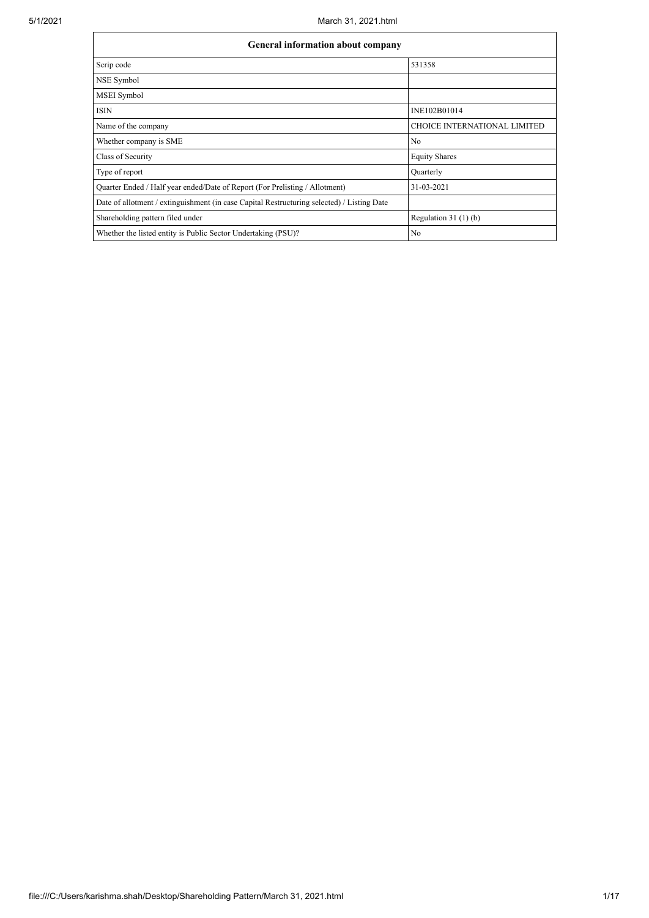| <b>General information about company</b>                                                   |                                     |  |  |  |  |  |  |  |  |
|--------------------------------------------------------------------------------------------|-------------------------------------|--|--|--|--|--|--|--|--|
| Scrip code                                                                                 | 531358                              |  |  |  |  |  |  |  |  |
| NSE Symbol                                                                                 |                                     |  |  |  |  |  |  |  |  |
| MSEI Symbol                                                                                |                                     |  |  |  |  |  |  |  |  |
| <b>ISIN</b>                                                                                | INE102B01014                        |  |  |  |  |  |  |  |  |
| Name of the company                                                                        | <b>CHOICE INTERNATIONAL LIMITED</b> |  |  |  |  |  |  |  |  |
| Whether company is SME                                                                     | No                                  |  |  |  |  |  |  |  |  |
| Class of Security                                                                          | <b>Equity Shares</b>                |  |  |  |  |  |  |  |  |
| Type of report                                                                             | Quarterly                           |  |  |  |  |  |  |  |  |
| Quarter Ended / Half year ended/Date of Report (For Prelisting / Allotment)                | 31-03-2021                          |  |  |  |  |  |  |  |  |
| Date of allotment / extinguishment (in case Capital Restructuring selected) / Listing Date |                                     |  |  |  |  |  |  |  |  |
| Shareholding pattern filed under                                                           | Regulation $31(1)(b)$               |  |  |  |  |  |  |  |  |
| Whether the listed entity is Public Sector Undertaking (PSU)?                              | No                                  |  |  |  |  |  |  |  |  |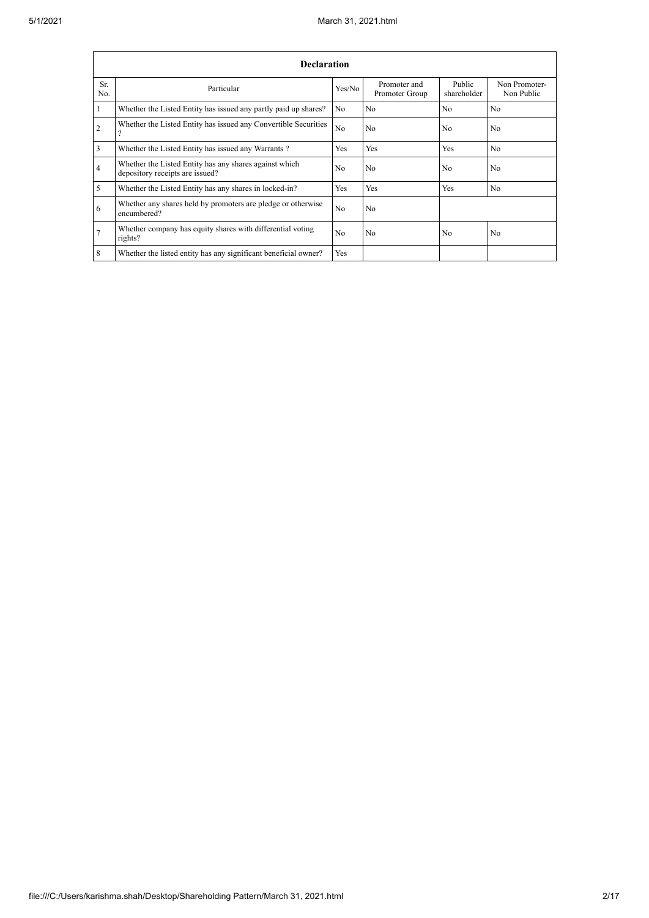|                | <b>Declaration</b>                                                                        |                |                                |                       |                             |  |  |  |  |  |  |
|----------------|-------------------------------------------------------------------------------------------|----------------|--------------------------------|-----------------------|-----------------------------|--|--|--|--|--|--|
| Sr.<br>No.     | Particular                                                                                | Yes/No         | Promoter and<br>Promoter Group | Public<br>shareholder | Non Promoter-<br>Non Public |  |  |  |  |  |  |
|                | Whether the Listed Entity has issued any partly paid up shares?                           | No             | N <sub>0</sub>                 | N <sub>0</sub>        | N <sub>o</sub>              |  |  |  |  |  |  |
| $\overline{2}$ | Whether the Listed Entity has issued any Convertible Securities                           | N <sub>o</sub> | No                             | N <sub>0</sub>        | N <sub>o</sub>              |  |  |  |  |  |  |
| 3              | Whether the Listed Entity has issued any Warrants?                                        | Yes            | <b>Yes</b>                     | <b>Yes</b>            | N <sub>0</sub>              |  |  |  |  |  |  |
| 4              | Whether the Listed Entity has any shares against which<br>depository receipts are issued? | N <sub>0</sub> | No                             | No                    | N <sub>0</sub>              |  |  |  |  |  |  |
| 5              | Whether the Listed Entity has any shares in locked-in?                                    | Yes            | Yes                            | <b>Yes</b>            | N <sub>o</sub>              |  |  |  |  |  |  |
| 6              | Whether any shares held by promoters are pledge or otherwise<br>encumbered?               | N <sub>o</sub> | No                             |                       |                             |  |  |  |  |  |  |
| 7              | Whether company has equity shares with differential voting<br>rights?                     | N <sub>0</sub> | N <sub>0</sub>                 | N <sub>0</sub>        | N <sub>0</sub>              |  |  |  |  |  |  |
| 8              | Whether the listed entity has any significant beneficial owner?                           | Yes            |                                |                       |                             |  |  |  |  |  |  |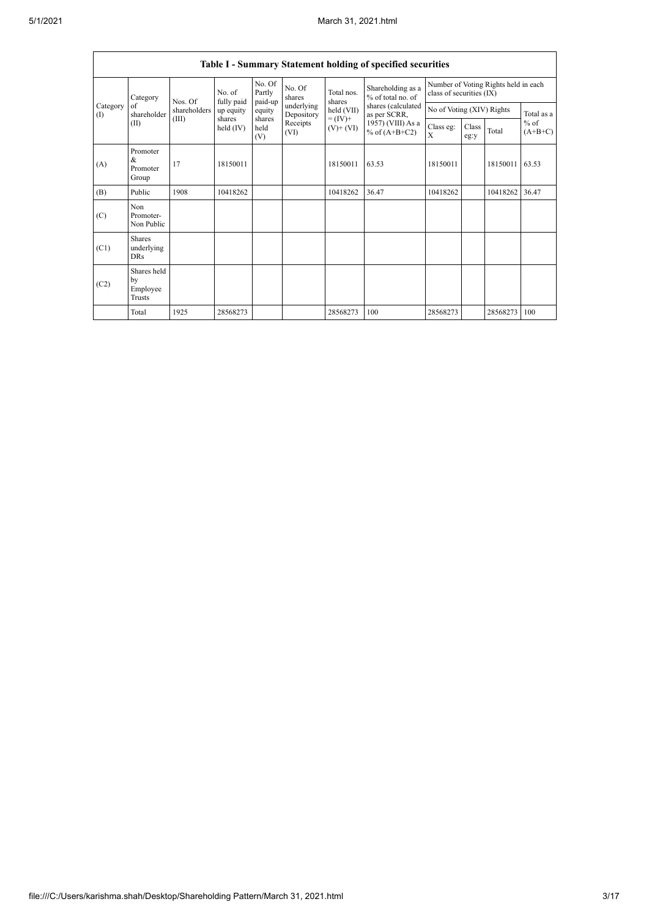|                          | Table I - Summary Statement holding of specified securities |                         |                                                          |                             |                          |                              |                                        |                                                                  |               |          |                     |  |  |
|--------------------------|-------------------------------------------------------------|-------------------------|----------------------------------------------------------|-----------------------------|--------------------------|------------------------------|----------------------------------------|------------------------------------------------------------------|---------------|----------|---------------------|--|--|
|                          | Category                                                    | Nos. Of<br>shareholders | No. of<br>fully paid<br>up equity<br>shares<br>held (IV) | No. Of<br>Partly<br>paid-up | No. Of<br>shares         | Total nos.<br>shares         | Shareholding as a<br>% of total no. of | Number of Voting Rights held in each<br>class of securities (IX) |               |          |                     |  |  |
| Category<br>$($ $\Gamma$ | of<br>shareholder                                           |                         |                                                          | equity                      | underlying<br>Depository | held (VII)                   | shares (calculated<br>as per SCRR,     | No of Voting (XIV) Rights                                        |               |          | Total as a          |  |  |
|                          | (II)                                                        | (III)                   |                                                          | shares<br>held<br>(V)       | Receipts<br>(VI)         | $= (IV) +$<br>$(V)$ + $(VI)$ | 1957) (VIII) As a<br>% of $(A+B+C2)$   | Class eg:<br>$\mathbf{X}$                                        | Class<br>eg:y | Total    | $%$ of<br>$(A+B+C)$ |  |  |
| (A)                      | Promoter<br>&<br>Promoter<br>Group                          | 17                      | 18150011                                                 |                             |                          | 18150011                     | 63.53                                  | 18150011                                                         |               | 18150011 | 63.53               |  |  |
| (B)                      | Public                                                      | 1908                    | 10418262                                                 |                             |                          | 10418262                     | 36.47                                  | 10418262                                                         |               | 10418262 | 36.47               |  |  |
| (C)                      | Non<br>Promoter-<br>Non Public                              |                         |                                                          |                             |                          |                              |                                        |                                                                  |               |          |                     |  |  |
| (C1)                     | <b>Shares</b><br>underlying<br><b>DRs</b>                   |                         |                                                          |                             |                          |                              |                                        |                                                                  |               |          |                     |  |  |
| (C2)                     | Shares held<br>by<br>Employee<br>Trusts                     |                         |                                                          |                             |                          |                              |                                        |                                                                  |               |          |                     |  |  |
|                          | Total                                                       | 1925                    | 28568273                                                 |                             |                          | 28568273                     | 100                                    | 28568273                                                         |               | 28568273 | 100                 |  |  |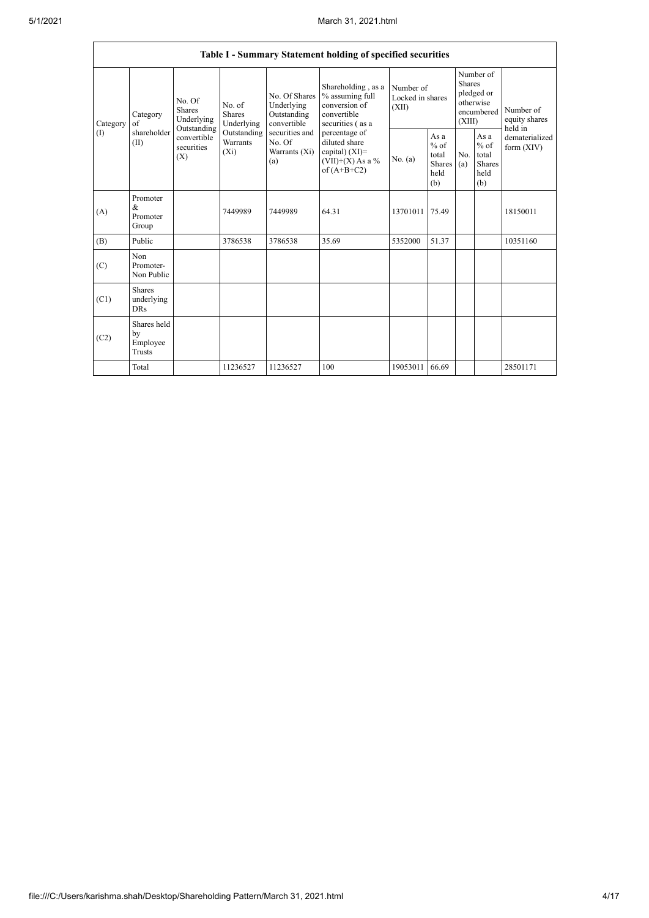|               |                                               |                                                                                          |                                                                      |                                                           | Table I - Summary Statement holding of specified securities                                                                                                                             |                                        |                                                         |                                                                               |                                                         |                                       |
|---------------|-----------------------------------------------|------------------------------------------------------------------------------------------|----------------------------------------------------------------------|-----------------------------------------------------------|-----------------------------------------------------------------------------------------------------------------------------------------------------------------------------------------|----------------------------------------|---------------------------------------------------------|-------------------------------------------------------------------------------|---------------------------------------------------------|---------------------------------------|
| Category<br>( | Category<br>$\sigma$ f<br>shareholder<br>(II) | No. Of<br><b>Shares</b><br>Underlying<br>Outstanding<br>convertible<br>securities<br>(X) | No. of<br>Shares<br>Underlying<br>Outstanding<br>Warrants<br>$(X_i)$ | No. Of Shares<br>Underlying<br>Outstanding<br>convertible | Shareholding, as a<br>% assuming full<br>conversion of<br>convertible<br>securities (as a<br>percentage of<br>diluted share<br>capital) $(XI)$ =<br>$(VII)+(X)$ As a %<br>of $(A+B+C2)$ | Number of<br>Locked in shares<br>(XII) |                                                         | Number of<br><b>Shares</b><br>pledged or<br>otherwise<br>encumbered<br>(XIII) |                                                         | Number of<br>equity shares<br>held in |
|               |                                               |                                                                                          |                                                                      | securities and<br>No. Of<br>Warrants (Xi)<br>(a)          |                                                                                                                                                                                         | No. (a)                                | As a<br>$%$ of<br>total<br><b>Shares</b><br>held<br>(b) | No.<br>(a)                                                                    | As a<br>$%$ of<br>total<br><b>Shares</b><br>held<br>(b) | dematerialized<br>form $(XIV)$        |
| (A)           | Promoter<br>&<br>Promoter<br>Group            |                                                                                          | 7449989                                                              | 7449989                                                   | 64.31                                                                                                                                                                                   | 13701011                               | 75.49                                                   |                                                                               |                                                         | 18150011                              |
| (B)           | Public                                        |                                                                                          | 3786538                                                              | 3786538                                                   | 35.69                                                                                                                                                                                   | 5352000                                | 51.37                                                   |                                                                               |                                                         | 10351160                              |
| (C)           | Non<br>Promoter-<br>Non Public                |                                                                                          |                                                                      |                                                           |                                                                                                                                                                                         |                                        |                                                         |                                                                               |                                                         |                                       |
| (C1)          | Shares<br>underlying<br><b>DRs</b>            |                                                                                          |                                                                      |                                                           |                                                                                                                                                                                         |                                        |                                                         |                                                                               |                                                         |                                       |
| (C2)          | Shares held<br>by<br>Employee<br>Trusts       |                                                                                          |                                                                      |                                                           |                                                                                                                                                                                         |                                        |                                                         |                                                                               |                                                         |                                       |
|               | Total                                         |                                                                                          | 11236527                                                             | 11236527                                                  | 100                                                                                                                                                                                     | 19053011                               | 66.69                                                   |                                                                               |                                                         | 28501171                              |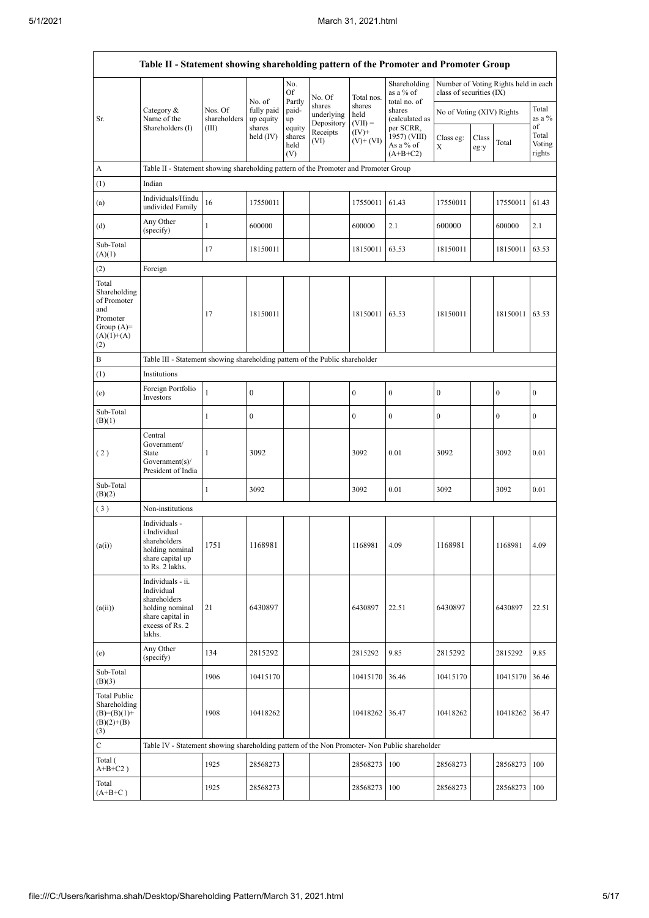|                                                                                                | Table II - Statement showing shareholding pattern of the Promoter and Promoter Group                                |                                                                              |                                             |                       |                                    |                             |                                           |                           |               |                                      |                           |  |  |
|------------------------------------------------------------------------------------------------|---------------------------------------------------------------------------------------------------------------------|------------------------------------------------------------------------------|---------------------------------------------|-----------------------|------------------------------------|-----------------------------|-------------------------------------------|---------------------------|---------------|--------------------------------------|---------------------------|--|--|
|                                                                                                |                                                                                                                     |                                                                              |                                             | No.<br>Of<br>Partly   | No. Of                             | Total nos.                  | Shareholding<br>as a % of<br>total no. of | class of securities (IX)  |               | Number of Voting Rights held in each |                           |  |  |
| Sr.                                                                                            | Category &<br>Name of the<br>Shareholders (I)                                                                       | Nos. Of<br>shareholders<br>(III)                                             | No. of<br>fully paid<br>up equity<br>shares | paid-<br>up<br>equity | shares<br>underlying<br>Depository | shares<br>held<br>$(VII) =$ | shares<br>(calculated as<br>per SCRR,     | No of Voting (XIV) Rights |               |                                      | Total<br>as a %<br>of     |  |  |
|                                                                                                |                                                                                                                     |                                                                              | held $(IV)$                                 | shares<br>held<br>(V) | Receipts<br>(VI)                   | $(IV)+$<br>$(V)$ + $(VI)$   | 1957) (VIII)<br>As a % of<br>$(A+B+C2)$   | Class eg:<br>X            | Class<br>eg:y | Total                                | Total<br>Voting<br>rights |  |  |
| A                                                                                              | Table II - Statement showing shareholding pattern of the Promoter and Promoter Group                                |                                                                              |                                             |                       |                                    |                             |                                           |                           |               |                                      |                           |  |  |
| (1)                                                                                            | Indian                                                                                                              |                                                                              |                                             |                       |                                    |                             |                                           |                           |               |                                      |                           |  |  |
| (a)                                                                                            | Individuals/Hindu<br>undivided Family                                                                               | 16                                                                           | 17550011                                    |                       |                                    | 17550011                    | 61.43                                     | 17550011                  |               | 17550011                             | 61.43                     |  |  |
| (d)                                                                                            | Any Other<br>(specify)                                                                                              | $\mathbf{1}$                                                                 | 600000                                      |                       |                                    | 600000                      | 2.1                                       | 600000                    |               | 600000                               | 2.1                       |  |  |
| Sub-Total<br>(A)(1)                                                                            |                                                                                                                     | 17                                                                           | 18150011                                    |                       |                                    | 18150011                    | 63.53                                     | 18150011                  |               | 18150011                             | 63.53                     |  |  |
| (2)                                                                                            | Foreign                                                                                                             |                                                                              |                                             |                       |                                    |                             |                                           |                           |               |                                      |                           |  |  |
| Total<br>Shareholding<br>of Promoter<br>and<br>Promoter<br>Group $(A)=$<br>$(A)(1)+(A)$<br>(2) |                                                                                                                     | 17                                                                           | 18150011                                    |                       |                                    | 18150011                    | 63.53                                     | 18150011                  |               | 18150011                             | 63.53                     |  |  |
| B                                                                                              |                                                                                                                     | Table III - Statement showing shareholding pattern of the Public shareholder |                                             |                       |                                    |                             |                                           |                           |               |                                      |                           |  |  |
| (1)                                                                                            | Institutions                                                                                                        |                                                                              |                                             |                       |                                    |                             |                                           |                           |               |                                      |                           |  |  |
| (e)                                                                                            | Foreign Portfolio<br>Investors                                                                                      | $\mathbf{1}$                                                                 | $\boldsymbol{0}$                            |                       |                                    | $\boldsymbol{0}$            | $\boldsymbol{0}$                          | $\boldsymbol{0}$          |               | $\boldsymbol{0}$                     | $\boldsymbol{0}$          |  |  |
| Sub-Total<br>(B)(1)                                                                            |                                                                                                                     | 1                                                                            | $\boldsymbol{0}$                            |                       |                                    | $\boldsymbol{0}$            | 0                                         | $\boldsymbol{0}$          |               | $\boldsymbol{0}$                     | 0                         |  |  |
| (2)                                                                                            | Central<br>Government/<br>State<br>Government(s)/<br>President of India                                             | 1                                                                            | 3092                                        |                       |                                    | 3092                        | 0.01                                      | 3092                      |               | 3092                                 | 0.01                      |  |  |
| Sub-Total<br>(B)(2)                                                                            |                                                                                                                     | $\mathbf{1}$                                                                 | 3092                                        |                       |                                    | 3092                        | 0.01                                      | 3092                      |               | 3092                                 | 0.01                      |  |  |
| (3)                                                                                            | Non-institutions                                                                                                    |                                                                              |                                             |                       |                                    |                             |                                           |                           |               |                                      |                           |  |  |
| (a(i))                                                                                         | Individuals -<br>i.Individual<br>shareholders<br>holding nominal<br>share capital up<br>to Rs. 2 lakhs.             | 1751                                                                         | 1168981                                     |                       |                                    | 1168981                     | 4.09                                      | 1168981                   |               | 1168981                              | 4.09                      |  |  |
| (a(ii))                                                                                        | Individuals - ii.<br>Individual<br>shareholders<br>holding nominal<br>share capital in<br>excess of Rs. 2<br>lakhs. | 21                                                                           | 6430897                                     |                       |                                    | 6430897                     | 22.51                                     | 6430897                   |               | 6430897                              | 22.51                     |  |  |
| (e)                                                                                            | Any Other<br>(specify)                                                                                              | 134                                                                          | 2815292                                     |                       |                                    | 2815292                     | 9.85                                      | 2815292                   |               | 2815292                              | 9.85                      |  |  |
| Sub-Total<br>(B)(3)                                                                            |                                                                                                                     | 1906                                                                         | 10415170                                    |                       |                                    | 10415170                    | 36.46                                     | 10415170                  |               | 10415170                             | 36.46                     |  |  |
| <b>Total Public</b><br>Shareholding<br>$(B)=(B)(1)+$<br>$(B)(2)+(B)$<br>(3)                    |                                                                                                                     | 1908                                                                         | 10418262                                    |                       |                                    | 10418262 36.47              |                                           | 10418262                  |               | 10418262 36.47                       |                           |  |  |
| $\mathbf C$                                                                                    | Table IV - Statement showing shareholding pattern of the Non Promoter- Non Public shareholder                       |                                                                              |                                             |                       |                                    |                             |                                           |                           |               |                                      |                           |  |  |
| Total (<br>$A+B+C2$ )                                                                          |                                                                                                                     | 1925                                                                         | 28568273                                    |                       |                                    | 28568273                    | 100                                       | 28568273                  |               | 28568273                             | 100                       |  |  |
| Total<br>$(A+B+C)$                                                                             |                                                                                                                     | 1925                                                                         | 28568273                                    |                       |                                    | 28568273                    | 100                                       | 28568273                  |               | 28568273                             | 100                       |  |  |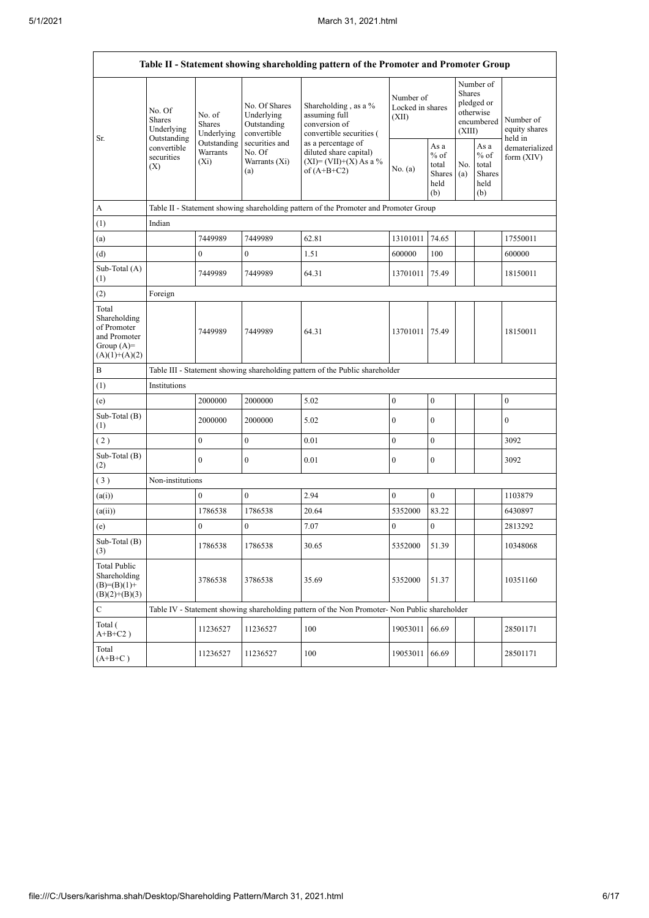|                                                                                         |                                               |                                                                              |                                                           | Table II - Statement showing shareholding pattern of the Promoter and Promoter Group                  |                                        |                                                  |                                                    |                                                  |                                |  |  |  |  |
|-----------------------------------------------------------------------------------------|-----------------------------------------------|------------------------------------------------------------------------------|-----------------------------------------------------------|-------------------------------------------------------------------------------------------------------|----------------------------------------|--------------------------------------------------|----------------------------------------------------|--------------------------------------------------|--------------------------------|--|--|--|--|
| Sr.                                                                                     | No. Of<br>Shares<br>Underlying<br>Outstanding | No. of<br>Shares<br>Underlying                                               | No. Of Shares<br>Underlying<br>Outstanding<br>convertible | Shareholding, as a %<br>assuming full<br>conversion of<br>convertible securities (                    | Number of<br>Locked in shares<br>(XII) | Shares<br>(XIII)                                 | Number of<br>pledged or<br>otherwise<br>encumbered | Number of<br>equity shares<br>held in            |                                |  |  |  |  |
|                                                                                         | convertible<br>securities<br>(X)              | Outstanding<br>Warrants<br>$(X_i)$                                           | securities and<br>No. Of<br>Warrants (Xi)<br>(a)          | as a percentage of<br>diluted share capital)<br>$(XI) = (VII)+(X) As a %$<br>No. (a)<br>of $(A+B+C2)$ |                                        | As a<br>$%$ of<br>total<br>Shares<br>held<br>(b) | No.<br>(a)                                         | As a<br>$%$ of<br>total<br>Shares<br>held<br>(b) | dematerialized<br>form $(XIV)$ |  |  |  |  |
| А                                                                                       |                                               |                                                                              |                                                           | Table II - Statement showing shareholding pattern of the Promoter and Promoter Group                  |                                        |                                                  |                                                    |                                                  |                                |  |  |  |  |
| (1)                                                                                     | Indian                                        |                                                                              |                                                           |                                                                                                       |                                        |                                                  |                                                    |                                                  |                                |  |  |  |  |
| (a)                                                                                     |                                               | 7449989                                                                      | 7449989                                                   | 62.81                                                                                                 | 13101011                               | 74.65                                            |                                                    |                                                  | 17550011                       |  |  |  |  |
| (d)                                                                                     |                                               | $\mathbf{0}$                                                                 | $\mathbf{0}$                                              | 1.51                                                                                                  | 600000                                 | 100                                              |                                                    |                                                  | 600000                         |  |  |  |  |
| Sub-Total (A)<br>(1)                                                                    |                                               | 7449989                                                                      | 7449989                                                   | 64.31                                                                                                 | 13701011                               | 75.49                                            |                                                    |                                                  | 18150011                       |  |  |  |  |
| (2)                                                                                     | Foreign                                       |                                                                              |                                                           |                                                                                                       |                                        |                                                  |                                                    |                                                  |                                |  |  |  |  |
| Total<br>Shareholding<br>of Promoter<br>and Promoter<br>Group $(A)=$<br>$(A)(1)+(A)(2)$ |                                               | 7449989                                                                      | 7449989                                                   | 64.31                                                                                                 | 13701011                               | 75.49                                            |                                                    |                                                  | 18150011                       |  |  |  |  |
| B                                                                                       |                                               | Table III - Statement showing shareholding pattern of the Public shareholder |                                                           |                                                                                                       |                                        |                                                  |                                                    |                                                  |                                |  |  |  |  |
| (1)                                                                                     | Institutions                                  |                                                                              |                                                           |                                                                                                       |                                        |                                                  |                                                    |                                                  |                                |  |  |  |  |
| (e)                                                                                     |                                               | 2000000                                                                      | 2000000                                                   | 5.02                                                                                                  | $\boldsymbol{0}$                       | $\mathbf{0}$                                     |                                                    |                                                  | $\boldsymbol{0}$               |  |  |  |  |
| Sub-Total (B)<br>(1)                                                                    |                                               | 2000000                                                                      | 2000000                                                   | 5.02                                                                                                  | $\mathbf{0}$                           | $\mathbf{0}$                                     |                                                    |                                                  | $\overline{0}$                 |  |  |  |  |
| (2)                                                                                     |                                               | $\overline{0}$                                                               | $\mathbf{0}$                                              | 0.01                                                                                                  | $\mathbf{0}$                           | $\mathbf{0}$                                     |                                                    |                                                  | 3092                           |  |  |  |  |
| Sub-Total (B)<br>(2)                                                                    |                                               | $\overline{0}$                                                               | $\mathbf{0}$                                              | 0.01                                                                                                  | $\boldsymbol{0}$                       | $\mathbf{0}$                                     |                                                    |                                                  | 3092                           |  |  |  |  |
| (3)                                                                                     | Non-institutions                              |                                                                              |                                                           |                                                                                                       |                                        |                                                  |                                                    |                                                  |                                |  |  |  |  |
| (a(i))                                                                                  |                                               | $\mathbf{0}$                                                                 | $\boldsymbol{0}$                                          | 2.94                                                                                                  | $\boldsymbol{0}$                       | $\mathbf{0}$                                     |                                                    |                                                  | 1103879                        |  |  |  |  |
| (a(ii))                                                                                 |                                               | 1786538                                                                      | 1786538                                                   | 20.64                                                                                                 | 5352000                                | 83.22                                            |                                                    |                                                  | 6430897                        |  |  |  |  |
| (e)                                                                                     |                                               | $\boldsymbol{0}$                                                             | $\boldsymbol{0}$                                          | 7.07                                                                                                  | $\boldsymbol{0}$                       | $\mathbf{0}$                                     |                                                    |                                                  | 2813292                        |  |  |  |  |
| Sub-Total (B)<br>(3)                                                                    |                                               | 1786538                                                                      | 1786538                                                   | 30.65                                                                                                 | 5352000                                | 51.39                                            |                                                    |                                                  | 10348068                       |  |  |  |  |
| <b>Total Public</b><br>Shareholding<br>$(B)=(B)(1)+$<br>$(B)(2)+(B)(3)$                 |                                               | 3786538                                                                      | 3786538                                                   | 35.69                                                                                                 | 5352000                                | 51.37                                            |                                                    |                                                  | 10351160                       |  |  |  |  |
| C                                                                                       |                                               |                                                                              |                                                           | Table IV - Statement showing shareholding pattern of the Non Promoter- Non Public shareholder         |                                        |                                                  |                                                    |                                                  |                                |  |  |  |  |
| Total (<br>$A+B+C2$ )                                                                   |                                               | 11236527                                                                     | 11236527                                                  | 100                                                                                                   | 19053011                               | 66.69                                            |                                                    |                                                  | 28501171                       |  |  |  |  |
| Total<br>$(A+B+C)$                                                                      |                                               | 11236527                                                                     | 11236527                                                  | 100                                                                                                   | 19053011                               | 66.69                                            |                                                    |                                                  | 28501171                       |  |  |  |  |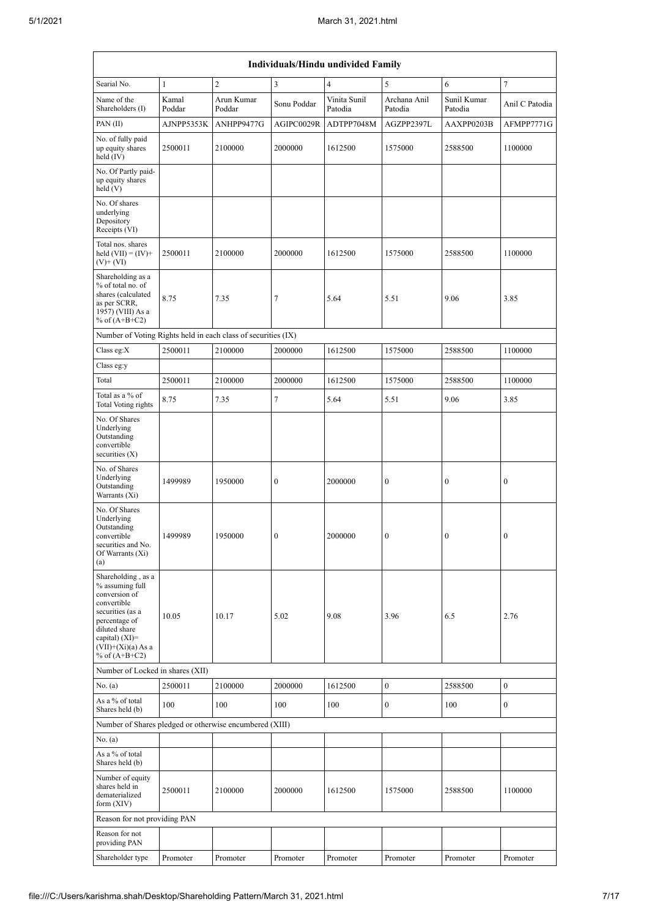| Individuals/Hindu undivided Family                                                                                                                                                         |                 |                      |                  |                         |                         |                        |                  |  |  |  |  |
|--------------------------------------------------------------------------------------------------------------------------------------------------------------------------------------------|-----------------|----------------------|------------------|-------------------------|-------------------------|------------------------|------------------|--|--|--|--|
| Searial No.                                                                                                                                                                                | $\mathbf{1}$    | $\overline{c}$       | 3                | $\overline{4}$          | 5                       | 6                      | 7                |  |  |  |  |
| Name of the<br>Shareholders (I)                                                                                                                                                            | Kamal<br>Poddar | Arun Kumar<br>Poddar | Sonu Poddar      | Vinita Sunil<br>Patodia | Archana Anil<br>Patodia | Sunil Kumar<br>Patodia | Anil C Patodia   |  |  |  |  |
| PAN(II)                                                                                                                                                                                    | AJNPP5353K      | ANHPP9477G           | AGIPC0029R       | ADTPP7048M              | AGZPP2397L              | AAXPP0203B             | AFMPP7771G       |  |  |  |  |
| No. of fully paid<br>up equity shares<br>held (IV)                                                                                                                                         | 2500011         | 2100000              | 2000000          | 1612500                 | 1575000                 | 2588500                | 1100000          |  |  |  |  |
| No. Of Partly paid-<br>up equity shares<br>held(V)                                                                                                                                         |                 |                      |                  |                         |                         |                        |                  |  |  |  |  |
| No. Of shares<br>underlying<br>Depository<br>Receipts (VI)                                                                                                                                 |                 |                      |                  |                         |                         |                        |                  |  |  |  |  |
| Total nos. shares<br>held $(VII) = (IV) +$<br>$(V)$ + $(VI)$                                                                                                                               | 2500011         | 2100000              | 2000000          | 1612500                 | 1575000                 | 2588500                | 1100000          |  |  |  |  |
| Shareholding as a<br>% of total no. of<br>shares (calculated<br>as per SCRR,<br>1957) (VIII) As a<br>% of $(A+B+C2)$                                                                       | 8.75            | 7.35                 | 7                | 5.64                    | 5.51                    | 9.06                   | 3.85             |  |  |  |  |
| Number of Voting Rights held in each class of securities (IX)                                                                                                                              |                 |                      |                  |                         |                         |                        |                  |  |  |  |  |
| Class eg: $X$                                                                                                                                                                              | 2500011         | 2100000              | 2000000          | 1612500                 | 1575000                 | 2588500                | 1100000          |  |  |  |  |
| Class eg:y                                                                                                                                                                                 |                 |                      |                  |                         |                         |                        |                  |  |  |  |  |
| Total                                                                                                                                                                                      | 2500011         | 2100000              | 2000000          | 1612500                 | 1575000                 | 2588500                | 1100000          |  |  |  |  |
| Total as a % of<br>Total Voting rights                                                                                                                                                     | 8.75            | 7.35                 | $\tau$           | 5.64                    | 5.51                    | 9.06                   | 3.85             |  |  |  |  |
| No. Of Shares<br>Underlying<br>Outstanding<br>convertible<br>securities $(X)$                                                                                                              |                 |                      |                  |                         |                         |                        |                  |  |  |  |  |
| No. of Shares<br>Underlying<br>Outstanding<br>Warrants (Xi)                                                                                                                                | 1499989         | 1950000              | $\boldsymbol{0}$ | 2000000                 | $\boldsymbol{0}$        | $\bf{0}$               | 0                |  |  |  |  |
| No. Of Shares<br>Underlying<br>Outstanding<br>convertible<br>securities and No.<br>Of Warrants (Xi)<br>(a)                                                                                 | 1499989         | 1950000              | $\mathbf{0}$     | 2000000                 | $\mathbf{0}$            | $\mathbf{0}$           | $\mathbf{0}$     |  |  |  |  |
| Shareholding, as a<br>% assuming full<br>conversion of<br>convertible<br>securities (as a<br>percentage of<br>diluted share<br>capital) $(XI)=$<br>$(VII)+(Xi)(a) As a$<br>% of $(A+B+C2)$ | 10.05           | 10.17                | 5.02             | 9.08                    | 3.96                    | 6.5                    | 2.76             |  |  |  |  |
| Number of Locked in shares (XII)                                                                                                                                                           |                 |                      |                  |                         |                         |                        |                  |  |  |  |  |
| No. (a)                                                                                                                                                                                    | 2500011         | 2100000              | 2000000          | 1612500                 | $\boldsymbol{0}$        | 2588500                | $\boldsymbol{0}$ |  |  |  |  |
| As a % of total<br>Shares held (b)                                                                                                                                                         | 100             | 100                  | 100              | 100                     | $\boldsymbol{0}$        | 100                    | $\boldsymbol{0}$ |  |  |  |  |
| Number of Shares pledged or otherwise encumbered (XIII)                                                                                                                                    |                 |                      |                  |                         |                         |                        |                  |  |  |  |  |
| No. (a)<br>As a % of total<br>Shares held (b)                                                                                                                                              |                 |                      |                  |                         |                         |                        |                  |  |  |  |  |
| Number of equity<br>shares held in<br>dematerialized<br>form $(XIV)$                                                                                                                       | 2500011         | 2100000              | 2000000          | 1612500                 | 1575000                 | 2588500                | 1100000          |  |  |  |  |
| Reason for not providing PAN                                                                                                                                                               |                 |                      |                  |                         |                         |                        |                  |  |  |  |  |
| Reason for not<br>providing PAN                                                                                                                                                            |                 |                      |                  |                         |                         |                        |                  |  |  |  |  |
| Shareholder type                                                                                                                                                                           | Promoter        | Promoter             | Promoter         | Promoter                | Promoter                | Promoter               | Promoter         |  |  |  |  |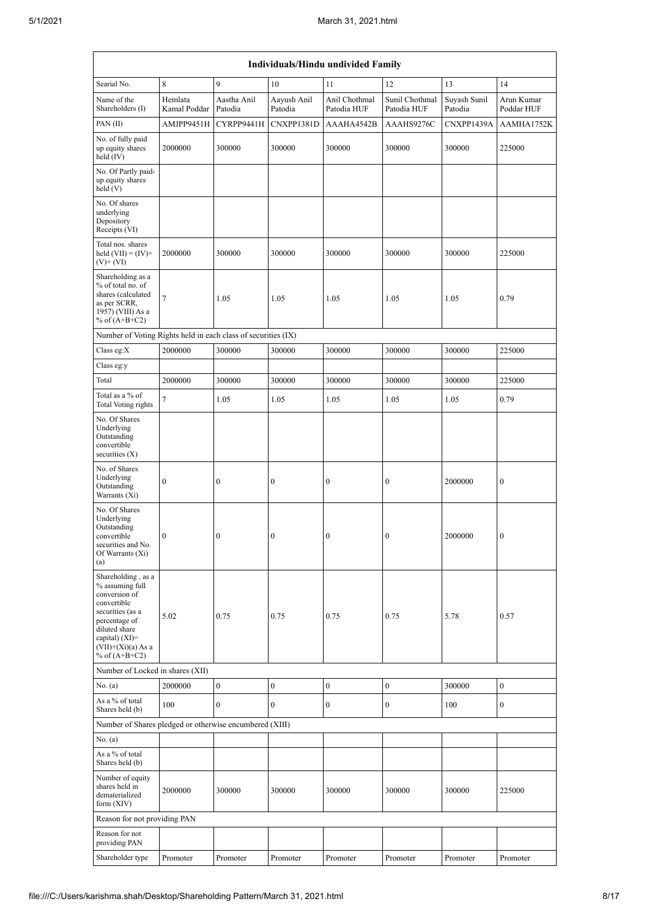| Individuals/Hindu undivided Family                                                                                                                                                       |                         |                        |                        |                              |                               |                         |                          |  |  |  |  |
|------------------------------------------------------------------------------------------------------------------------------------------------------------------------------------------|-------------------------|------------------------|------------------------|------------------------------|-------------------------------|-------------------------|--------------------------|--|--|--|--|
| Searial No.                                                                                                                                                                              | 8                       | 9                      | 10                     | 11                           | 12                            | 13                      | 14                       |  |  |  |  |
| Name of the<br>Shareholders (I)                                                                                                                                                          | Hemlata<br>Kamal Poddar | Aastha Anil<br>Patodia | Aayush Anil<br>Patodia | Anil Chothmal<br>Patodia HUF | Sunil Chothmal<br>Patodia HUF | Suyash Sunil<br>Patodia | Arun Kumar<br>Poddar HUF |  |  |  |  |
| PAN(II)                                                                                                                                                                                  | AMJPP9451H              | CYRPP9441H             | CNXPP1381D             | AAAHA4542B                   | AAAHS9276C                    | CNXPP1439A              | AAMHA1752K               |  |  |  |  |
| No. of fully paid<br>up equity shares<br>held (IV)                                                                                                                                       | 2000000                 | 300000                 | 300000                 | 300000                       | 300000                        | 300000                  | 225000                   |  |  |  |  |
| No. Of Partly paid-<br>up equity shares<br>held (V)                                                                                                                                      |                         |                        |                        |                              |                               |                         |                          |  |  |  |  |
| No. Of shares<br>underlying<br>Depository<br>Receipts (VI)                                                                                                                               |                         |                        |                        |                              |                               |                         |                          |  |  |  |  |
| Total nos. shares<br>held $(VII) = (IV) +$<br>$(V)$ + $(VI)$                                                                                                                             | 2000000                 | 300000                 | 300000                 | 300000                       | 300000                        | 300000                  | 225000                   |  |  |  |  |
| Shareholding as a<br>% of total no. of<br>shares (calculated<br>as per SCRR,<br>1957) (VIII) As a<br>% of $(A+B+C2)$                                                                     | $\tau$                  | 1.05                   | 1.05                   | 1.05                         | 1.05                          | 1.05                    | 0.79                     |  |  |  |  |
| Number of Voting Rights held in each class of securities (IX)                                                                                                                            |                         |                        |                        |                              |                               |                         |                          |  |  |  |  |
| Class eg: $X$                                                                                                                                                                            | 2000000                 | 300000                 | 300000                 | 300000                       | 300000                        | 300000                  | 225000                   |  |  |  |  |
| Class eg:y                                                                                                                                                                               |                         |                        |                        |                              |                               |                         |                          |  |  |  |  |
| Total                                                                                                                                                                                    | 2000000                 | 300000                 | 300000                 | 300000                       | 300000                        | 300000                  | 225000                   |  |  |  |  |
| Total as a % of<br>Total Voting rights                                                                                                                                                   | $\overline{7}$          | 1.05                   | 1.05                   | 1.05                         | 1.05                          | 1.05                    | 0.79                     |  |  |  |  |
| No. Of Shares<br>Underlying<br>Outstanding<br>convertible<br>securities $(X)$                                                                                                            |                         |                        |                        |                              |                               |                         |                          |  |  |  |  |
| No. of Shares<br>Underlying<br>Outstanding<br>Warrants (Xi)                                                                                                                              | $\boldsymbol{0}$        | $\boldsymbol{0}$       | $\boldsymbol{0}$       | $\bf{0}$                     | $\boldsymbol{0}$              | 2000000                 | $\boldsymbol{0}$         |  |  |  |  |
| No. Of Shares<br>Underlying<br>Outstanding<br>convertible<br>securities and No.<br>Of Warrants (Xi)<br>(a)                                                                               | $\mathbf{0}$            | $\mathbf{0}$           | $\mathbf{0}$           | $\overline{0}$               | $\mathbf{0}$                  | 2000000                 | $\overline{0}$           |  |  |  |  |
| Shareholding, as a<br>% assuming full<br>conversion of<br>convertible<br>securities (as a<br>percentage of<br>diluted share<br>capital) (XI)=<br>$(VII)+(Xi)(a) As a$<br>% of $(A+B+C2)$ | 5.02                    | 0.75                   | 0.75                   | 0.75                         | 0.75                          | 5.78                    | 0.57                     |  |  |  |  |
| Number of Locked in shares (XII)                                                                                                                                                         |                         |                        |                        |                              |                               |                         |                          |  |  |  |  |
| No. (a)                                                                                                                                                                                  | 2000000                 | $\boldsymbol{0}$       | $\boldsymbol{0}$       | $\boldsymbol{0}$             | $\boldsymbol{0}$              | 300000                  | $\boldsymbol{0}$         |  |  |  |  |
| As a % of total<br>Shares held (b)                                                                                                                                                       | 100                     | $\mathbf{0}$           | $\mathbf{0}$           | $\mathbf{0}$                 | $\boldsymbol{0}$              | 100                     | $\overline{0}$           |  |  |  |  |
| Number of Shares pledged or otherwise encumbered (XIII)                                                                                                                                  |                         |                        |                        |                              |                               |                         |                          |  |  |  |  |
| No. (a)<br>As a % of total<br>Shares held (b)                                                                                                                                            |                         |                        |                        |                              |                               |                         |                          |  |  |  |  |
| Number of equity<br>shares held in<br>dematerialized<br>form $(XIV)$                                                                                                                     | 2000000                 | 300000                 | 300000                 | 300000                       | 300000                        | 300000                  | 225000                   |  |  |  |  |
| Reason for not providing PAN                                                                                                                                                             |                         |                        |                        |                              |                               |                         |                          |  |  |  |  |
| Reason for not<br>providing PAN                                                                                                                                                          |                         |                        |                        |                              |                               |                         |                          |  |  |  |  |
| Shareholder type                                                                                                                                                                         | Promoter                | Promoter               | Promoter               | Promoter                     | Promoter                      | Promoter                | Promoter                 |  |  |  |  |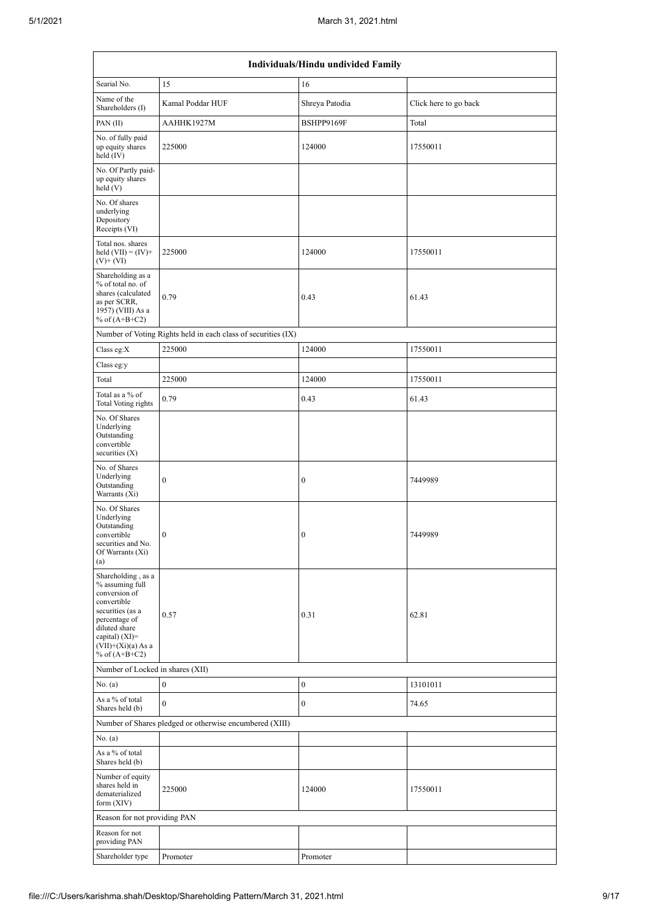| Individuals/Hindu undivided Family                                                                                                                                                       |                                                               |                  |                       |  |  |  |  |  |  |  |
|------------------------------------------------------------------------------------------------------------------------------------------------------------------------------------------|---------------------------------------------------------------|------------------|-----------------------|--|--|--|--|--|--|--|
| Searial No.                                                                                                                                                                              | 15                                                            | 16               |                       |  |  |  |  |  |  |  |
| Name of the<br>Shareholders (I)                                                                                                                                                          | Kamal Poddar HUF                                              | Shreya Patodia   | Click here to go back |  |  |  |  |  |  |  |
| PAN $(II)$                                                                                                                                                                               | AAHHK1927M                                                    | BSHPP9169F       | Total                 |  |  |  |  |  |  |  |
| No. of fully paid<br>up equity shares<br>held (IV)                                                                                                                                       | 225000                                                        | 124000           | 17550011              |  |  |  |  |  |  |  |
| No. Of Partly paid-<br>up equity shares<br>held(V)                                                                                                                                       |                                                               |                  |                       |  |  |  |  |  |  |  |
| No. Of shares<br>underlying<br>Depository<br>Receipts (VI)                                                                                                                               |                                                               |                  |                       |  |  |  |  |  |  |  |
| Total nos. shares<br>held $(VII) = (IV) +$<br>$(V)$ + $(VI)$                                                                                                                             | 225000                                                        | 124000           | 17550011              |  |  |  |  |  |  |  |
| Shareholding as a<br>% of total no. of<br>shares (calculated<br>as per SCRR,<br>1957) (VIII) As a<br>% of $(A+B+C2)$                                                                     | 0.79                                                          | 0.43             | 61.43                 |  |  |  |  |  |  |  |
|                                                                                                                                                                                          | Number of Voting Rights held in each class of securities (IX) |                  |                       |  |  |  |  |  |  |  |
| Class eg: $X$                                                                                                                                                                            | 225000                                                        | 124000           | 17550011              |  |  |  |  |  |  |  |
| Class eg:y                                                                                                                                                                               |                                                               |                  |                       |  |  |  |  |  |  |  |
| Total                                                                                                                                                                                    | 225000                                                        | 124000           | 17550011              |  |  |  |  |  |  |  |
| Total as a % of<br>Total Voting rights                                                                                                                                                   | 0.79                                                          | 0.43             | 61.43                 |  |  |  |  |  |  |  |
| No. Of Shares<br>Underlying<br>Outstanding<br>convertible<br>securities $(X)$                                                                                                            |                                                               |                  |                       |  |  |  |  |  |  |  |
| No. of Shares<br>Underlying<br>Outstanding<br>Warrants (Xi)                                                                                                                              | $\boldsymbol{0}$                                              | $\boldsymbol{0}$ | 7449989               |  |  |  |  |  |  |  |
| No. Of Shares<br>Underlying<br>Outstanding<br>convertible<br>securities and No.<br>Of Warrants (Xi)<br>(a)                                                                               | $\boldsymbol{0}$                                              | $\boldsymbol{0}$ | 7449989               |  |  |  |  |  |  |  |
| Shareholding, as a<br>% assuming full<br>conversion of<br>convertible<br>securities (as a<br>percentage of<br>diluted share<br>capital) (XI)=<br>$(VII)+(Xi)(a)$ As a<br>% of $(A+B+C2)$ | 0.57                                                          | 0.31             | 62.81                 |  |  |  |  |  |  |  |
| Number of Locked in shares (XII)                                                                                                                                                         |                                                               |                  |                       |  |  |  |  |  |  |  |
| No. (a)                                                                                                                                                                                  | $\bf{0}$                                                      | $\boldsymbol{0}$ | 13101011              |  |  |  |  |  |  |  |
| As a % of total<br>Shares held (b)                                                                                                                                                       | $\mathbf{0}$                                                  | $\boldsymbol{0}$ | 74.65                 |  |  |  |  |  |  |  |
|                                                                                                                                                                                          | Number of Shares pledged or otherwise encumbered (XIII)       |                  |                       |  |  |  |  |  |  |  |
| No. (a)<br>As a % of total<br>Shares held (b)                                                                                                                                            |                                                               |                  |                       |  |  |  |  |  |  |  |
| Number of equity<br>shares held in<br>dematerialized<br>form $(XIV)$                                                                                                                     | 225000                                                        | 124000           | 17550011              |  |  |  |  |  |  |  |
| Reason for not providing PAN                                                                                                                                                             |                                                               |                  |                       |  |  |  |  |  |  |  |
| Reason for not<br>providing PAN                                                                                                                                                          |                                                               |                  |                       |  |  |  |  |  |  |  |
| Shareholder type                                                                                                                                                                         | Promoter                                                      | Promoter         |                       |  |  |  |  |  |  |  |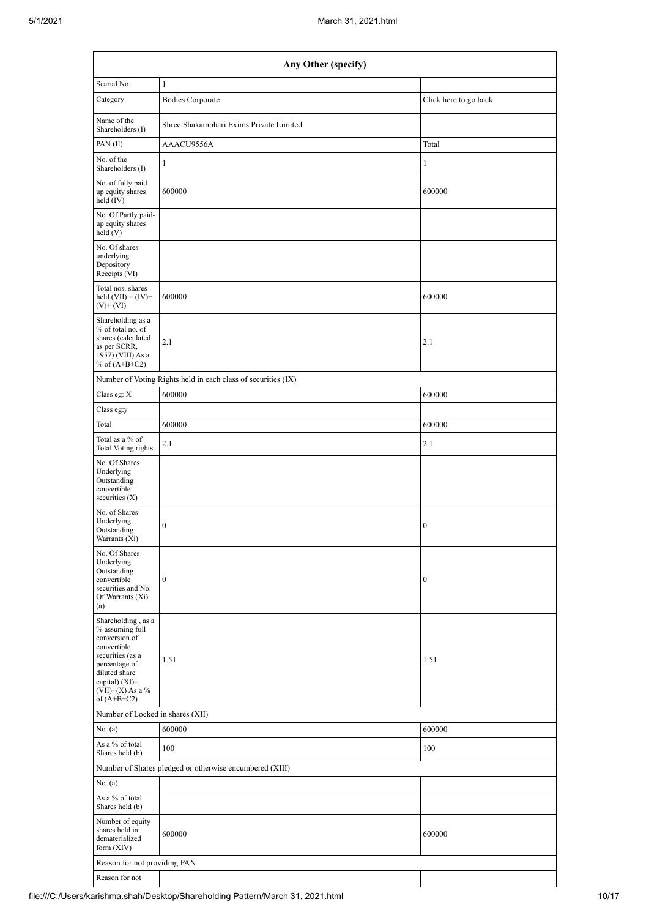|                                                                                                                                                                                        | Any Other (specify)                                           |                       |  |  |  |  |  |  |  |  |  |
|----------------------------------------------------------------------------------------------------------------------------------------------------------------------------------------|---------------------------------------------------------------|-----------------------|--|--|--|--|--|--|--|--|--|
| Searial No.                                                                                                                                                                            | $\mathbf{1}$                                                  |                       |  |  |  |  |  |  |  |  |  |
| Category                                                                                                                                                                               | <b>Bodies Corporate</b>                                       | Click here to go back |  |  |  |  |  |  |  |  |  |
| Name of the<br>Shareholders (I)                                                                                                                                                        | Shree Shakambhari Exims Private Limited                       |                       |  |  |  |  |  |  |  |  |  |
| PAN(II)                                                                                                                                                                                | AAACU9556A                                                    | Total                 |  |  |  |  |  |  |  |  |  |
| No. of the<br>Shareholders (I)                                                                                                                                                         | $\mathbf{1}$                                                  | 1                     |  |  |  |  |  |  |  |  |  |
| No. of fully paid<br>up equity shares<br>held (IV)                                                                                                                                     | 600000                                                        | 600000                |  |  |  |  |  |  |  |  |  |
| No. Of Partly paid-<br>up equity shares<br>held(V)                                                                                                                                     |                                                               |                       |  |  |  |  |  |  |  |  |  |
| No. Of shares<br>underlying<br>Depository<br>Receipts (VI)                                                                                                                             |                                                               |                       |  |  |  |  |  |  |  |  |  |
| Total nos. shares<br>held $(VII) = (IV) +$<br>$(V)$ + $(VI)$                                                                                                                           | 600000                                                        | 600000                |  |  |  |  |  |  |  |  |  |
| Shareholding as a<br>% of total no. of<br>shares (calculated<br>as per SCRR,<br>1957) (VIII) As a<br>% of $(A+B+C2)$                                                                   | 2.1                                                           | 2.1                   |  |  |  |  |  |  |  |  |  |
|                                                                                                                                                                                        | Number of Voting Rights held in each class of securities (IX) |                       |  |  |  |  |  |  |  |  |  |
| Class eg: X                                                                                                                                                                            | 600000                                                        | 600000                |  |  |  |  |  |  |  |  |  |
| Class eg:y                                                                                                                                                                             |                                                               |                       |  |  |  |  |  |  |  |  |  |
| Total                                                                                                                                                                                  | 600000                                                        | 600000                |  |  |  |  |  |  |  |  |  |
| Total as a % of<br>Total Voting rights                                                                                                                                                 | 2.1                                                           | 2.1                   |  |  |  |  |  |  |  |  |  |
| No. Of Shares<br>Underlying<br>Outstanding<br>convertible<br>securities $(X)$                                                                                                          |                                                               |                       |  |  |  |  |  |  |  |  |  |
| No. of Shares<br>Underlying<br>Outstanding<br>Warrants (Xi)                                                                                                                            | $\boldsymbol{0}$                                              | $\boldsymbol{0}$      |  |  |  |  |  |  |  |  |  |
| No. Of Shares<br>Underlying<br>Outstanding<br>convertible<br>securities and No.<br>Of Warrants (Xi)<br>(a)                                                                             | $\boldsymbol{0}$                                              | $\boldsymbol{0}$      |  |  |  |  |  |  |  |  |  |
| Shareholding, as a<br>% assuming full<br>conversion of<br>convertible<br>securities (as a<br>percentage of<br>diluted share<br>capital) $(XI)=$<br>$(VII)+(X)$ As a %<br>of $(A+B+C2)$ | 1.51                                                          | 1.51                  |  |  |  |  |  |  |  |  |  |
| Number of Locked in shares (XII)                                                                                                                                                       |                                                               |                       |  |  |  |  |  |  |  |  |  |
| No. (a)                                                                                                                                                                                | 600000                                                        | 600000                |  |  |  |  |  |  |  |  |  |
| As a % of total<br>Shares held (b)                                                                                                                                                     | 100                                                           | 100                   |  |  |  |  |  |  |  |  |  |
|                                                                                                                                                                                        | Number of Shares pledged or otherwise encumbered (XIII)       |                       |  |  |  |  |  |  |  |  |  |
| No. (a)                                                                                                                                                                                |                                                               |                       |  |  |  |  |  |  |  |  |  |
| As a % of total<br>Shares held (b)                                                                                                                                                     |                                                               |                       |  |  |  |  |  |  |  |  |  |
| Number of equity<br>shares held in<br>dematerialized<br>form $(XIV)$                                                                                                                   | 600000                                                        | 600000                |  |  |  |  |  |  |  |  |  |
| Reason for not providing PAN                                                                                                                                                           |                                                               |                       |  |  |  |  |  |  |  |  |  |
| Reason for not                                                                                                                                                                         |                                                               |                       |  |  |  |  |  |  |  |  |  |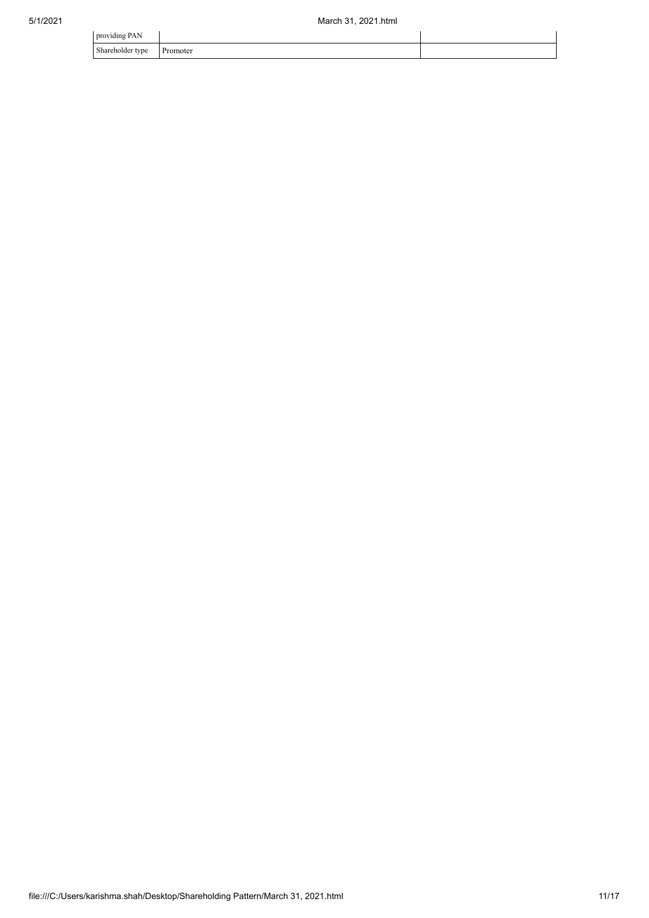| providing PAN                |          |  |
|------------------------------|----------|--|
| Shareholder type<br>$\sim$ 1 | Promoter |  |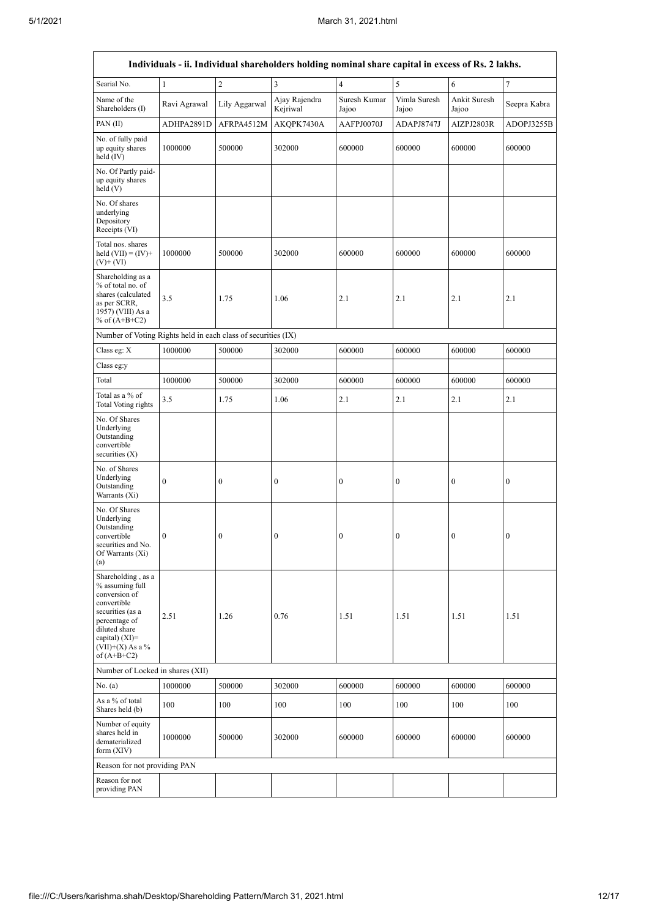r

٦

| Individuals - ii. Individual shareholders holding nominal share capital in excess of Rs. 2 lakhs.                                                                                    |                  |                  |                           |                       |                       |                       |                  |  |  |  |  |
|--------------------------------------------------------------------------------------------------------------------------------------------------------------------------------------|------------------|------------------|---------------------------|-----------------------|-----------------------|-----------------------|------------------|--|--|--|--|
| Searial No.                                                                                                                                                                          | $\mathbf{1}$     | $\overline{c}$   | 3                         | $\overline{4}$        | 5                     | 6                     | $\tau$           |  |  |  |  |
| Name of the<br>Shareholders (I)                                                                                                                                                      | Ravi Agrawal     | Lily Aggarwal    | Ajay Rajendra<br>Kejriwal | Suresh Kumar<br>Jajoo | Vimla Suresh<br>Jajoo | Ankit Suresh<br>Jajoo | Seepra Kabra     |  |  |  |  |
| PAN(II)                                                                                                                                                                              | ADHPA2891D       | AFRPA4512M       | AKOPK7430A                | AAFPJ0070J            | ADAPJ8747J            | AIZPJ2803R            | ADOPJ3255B       |  |  |  |  |
| No. of fully paid<br>up equity shares<br>held (IV)                                                                                                                                   | 1000000          | 500000           | 302000                    | 600000                | 600000                | 600000                | 600000           |  |  |  |  |
| No. Of Partly paid-<br>up equity shares<br>held (V)                                                                                                                                  |                  |                  |                           |                       |                       |                       |                  |  |  |  |  |
| No. Of shares<br>underlying<br>Depository<br>Receipts (VI)                                                                                                                           |                  |                  |                           |                       |                       |                       |                  |  |  |  |  |
| Total nos. shares<br>held $(VII) = (IV) +$<br>$(V)$ + $(VI)$                                                                                                                         | 1000000          | 500000           | 302000                    | 600000                | 600000                | 600000                | 600000           |  |  |  |  |
| Shareholding as a<br>% of total no. of<br>shares (calculated<br>as per SCRR,<br>1957) (VIII) As a<br>% of $(A+B+C2)$                                                                 | 3.5              | 1.75             | 1.06                      | 2.1                   | 2.1                   | 2.1                   | 2.1              |  |  |  |  |
| Number of Voting Rights held in each class of securities (IX)                                                                                                                        |                  |                  |                           |                       |                       |                       |                  |  |  |  |  |
| Class eg: X                                                                                                                                                                          | 1000000          | 500000           | 302000                    | 600000                | 600000                | 600000                | 600000           |  |  |  |  |
| Class eg:y                                                                                                                                                                           |                  |                  |                           |                       |                       |                       |                  |  |  |  |  |
| Total                                                                                                                                                                                | 1000000          | 500000           | 302000                    | 600000                | 600000                | 600000                | 600000           |  |  |  |  |
| Total as a % of<br>Total Voting rights                                                                                                                                               | 3.5              | 1.75             | 1.06                      | 2.1                   | 2.1                   | 2.1                   | 2.1              |  |  |  |  |
| No. Of Shares<br>Underlying<br>Outstanding<br>convertible<br>securities $(X)$                                                                                                        |                  |                  |                           |                       |                       |                       |                  |  |  |  |  |
| No. of Shares<br>Underlying<br>Outstanding<br>Warrants (Xi)                                                                                                                          | $\boldsymbol{0}$ | $\boldsymbol{0}$ | $\boldsymbol{0}$          | $\boldsymbol{0}$      | $\boldsymbol{0}$      | $\boldsymbol{0}$      | $\boldsymbol{0}$ |  |  |  |  |
| No. Of Shares<br>Underlying<br>Outstanding<br>convertible<br>securities and No.<br>Of Warrants (Xi)<br>(a)                                                                           | $\boldsymbol{0}$ | $\boldsymbol{0}$ | 0                         | $\boldsymbol{0}$      | $\boldsymbol{0}$      | $\boldsymbol{0}$      | $\boldsymbol{0}$ |  |  |  |  |
| Shareholding, as a<br>% assuming full<br>conversion of<br>convertible<br>securities (as a<br>percentage of<br>diluted share<br>capital) (XI)=<br>$(VII)+(X)$ As a %<br>of $(A+B+C2)$ | 2.51             | 1.26             | 0.76                      | 1.51                  | 1.51                  | 1.51                  | 1.51             |  |  |  |  |
| Number of Locked in shares (XII)                                                                                                                                                     |                  |                  |                           |                       |                       |                       |                  |  |  |  |  |
| No. (a)                                                                                                                                                                              | 1000000          | 500000           | 302000                    | 600000                | 600000                | 600000                | 600000           |  |  |  |  |
| As a % of total<br>Shares held (b)                                                                                                                                                   | 100              | 100              | 100                       | 100                   | 100                   | 100                   | 100              |  |  |  |  |
| Number of equity<br>shares held in<br>dematerialized<br>form (XIV)                                                                                                                   | 1000000          | 500000           | 302000                    | 600000                | 600000                | 600000                | 600000           |  |  |  |  |
| Reason for not providing PAN                                                                                                                                                         |                  |                  |                           |                       |                       |                       |                  |  |  |  |  |
| Reason for not<br>providing PAN                                                                                                                                                      |                  |                  |                           |                       |                       |                       |                  |  |  |  |  |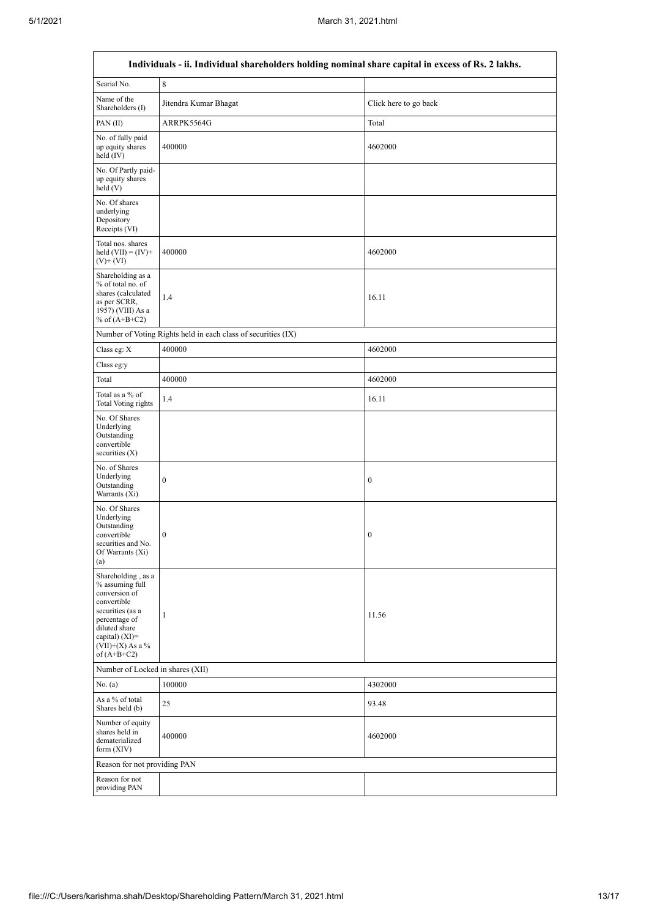$\overline{1}$ 

 $\overline{\mathsf{I}}$ 

| Individuals - ii. Individual shareholders holding nominal share capital in excess of Rs. 2 lakhs.                                                                                      |                       |                       |  |  |  |  |  |  |  |
|----------------------------------------------------------------------------------------------------------------------------------------------------------------------------------------|-----------------------|-----------------------|--|--|--|--|--|--|--|
| Searial No.                                                                                                                                                                            | 8                     |                       |  |  |  |  |  |  |  |
| Name of the<br>Shareholders (I)                                                                                                                                                        | Jitendra Kumar Bhagat | Click here to go back |  |  |  |  |  |  |  |
| PAN $(II)$                                                                                                                                                                             | ARRPK5564G            | Total                 |  |  |  |  |  |  |  |
| No. of fully paid<br>up equity shares<br>held $(IV)$                                                                                                                                   | 400000                | 4602000               |  |  |  |  |  |  |  |
| No. Of Partly paid-<br>up equity shares<br>held(V)                                                                                                                                     |                       |                       |  |  |  |  |  |  |  |
| No. Of shares<br>underlying<br>Depository<br>Receipts (VI)                                                                                                                             |                       |                       |  |  |  |  |  |  |  |
| Total nos. shares<br>held $(VII) = (IV) +$<br>$(V)$ + $(VI)$                                                                                                                           | 400000                | 4602000               |  |  |  |  |  |  |  |
| Shareholding as a<br>% of total no. of<br>shares (calculated<br>as per SCRR,<br>1957) (VIII) As a<br>% of $(A+B+C2)$                                                                   | 1.4                   | 16.11                 |  |  |  |  |  |  |  |
| Number of Voting Rights held in each class of securities (IX)                                                                                                                          |                       |                       |  |  |  |  |  |  |  |
| Class eg: X                                                                                                                                                                            | 400000                | 4602000               |  |  |  |  |  |  |  |
| Class eg:y                                                                                                                                                                             |                       |                       |  |  |  |  |  |  |  |
| Total                                                                                                                                                                                  | 400000                | 4602000               |  |  |  |  |  |  |  |
| Total as a % of<br><b>Total Voting rights</b>                                                                                                                                          | 1.4                   | 16.11                 |  |  |  |  |  |  |  |
| No. Of Shares<br>Underlying<br>Outstanding<br>convertible<br>securities (X)                                                                                                            |                       |                       |  |  |  |  |  |  |  |
| No. of Shares<br>Underlying<br>Outstanding<br>Warrants (Xi)                                                                                                                            | $\boldsymbol{0}$      | $\boldsymbol{0}$      |  |  |  |  |  |  |  |
| No. Of Shares<br>Underlying<br>Outstanding<br>convertible<br>securities and No.<br>Of Warrants (Xi)<br>(a)                                                                             | $\boldsymbol{0}$      | $\boldsymbol{0}$      |  |  |  |  |  |  |  |
| Shareholding, as a<br>% assuming full<br>conversion of<br>convertible<br>securities (as a<br>percentage of<br>diluted share<br>capital) $(XI)=$<br>$(VII)+(X)$ As a %<br>of $(A+B+C2)$ | 1                     | 11.56                 |  |  |  |  |  |  |  |
| Number of Locked in shares (XII)                                                                                                                                                       |                       |                       |  |  |  |  |  |  |  |
| No. (a)                                                                                                                                                                                | 100000                | 4302000               |  |  |  |  |  |  |  |
| As a % of total<br>Shares held (b)                                                                                                                                                     | 25                    | 93.48                 |  |  |  |  |  |  |  |
| Number of equity<br>shares held in<br>dematerialized<br>form $(XIV)$                                                                                                                   | 400000                | 4602000               |  |  |  |  |  |  |  |
| Reason for not providing PAN                                                                                                                                                           |                       |                       |  |  |  |  |  |  |  |
| Reason for not<br>providing PAN                                                                                                                                                        |                       |                       |  |  |  |  |  |  |  |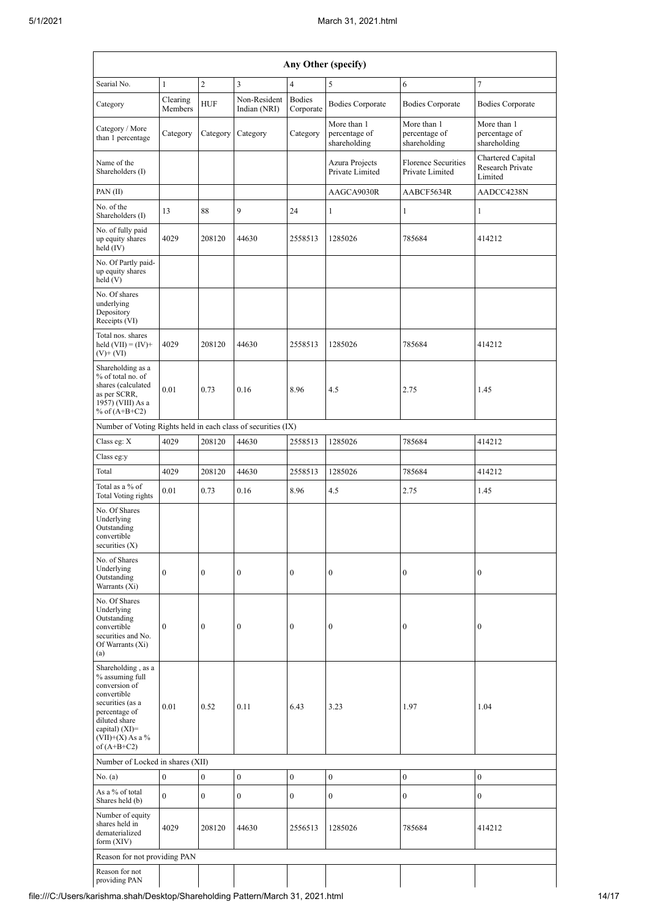| Any Other (specify)                                                                                                                                                                    |                     |                                      |                              |                            |                                                                                    |                                              |                                                  |  |  |  |
|----------------------------------------------------------------------------------------------------------------------------------------------------------------------------------------|---------------------|--------------------------------------|------------------------------|----------------------------|------------------------------------------------------------------------------------|----------------------------------------------|--------------------------------------------------|--|--|--|
| Searial No.                                                                                                                                                                            | $\mathbf{1}$        | $\sqrt{2}$                           | 3                            | $\overline{4}$             | 5                                                                                  | 6                                            | $\tau$                                           |  |  |  |
| Category                                                                                                                                                                               | Clearing<br>Members | <b>HUF</b>                           | Non-Resident<br>Indian (NRI) | <b>Bodies</b><br>Corporate | <b>Bodies Corporate</b>                                                            | <b>Bodies Corporate</b>                      | <b>Bodies Corporate</b>                          |  |  |  |
| Category / More<br>than 1 percentage                                                                                                                                                   | Category            | Category                             | Category                     | Category                   | More than 1<br>percentage of<br>shareholding                                       | More than 1<br>percentage of<br>shareholding | More than 1<br>percentage of<br>shareholding     |  |  |  |
| Name of the<br>Shareholders (I)                                                                                                                                                        |                     |                                      |                              |                            | <b>Florence Securities</b><br>Azura Projects<br>Private Limited<br>Private Limited |                                              | Chartered Capital<br>Research Private<br>Limited |  |  |  |
| PAN(II)                                                                                                                                                                                |                     |                                      |                              |                            | AAGCA9030R                                                                         | AABCF5634R                                   | AADCC4238N                                       |  |  |  |
| No. of the<br>Shareholders (I)                                                                                                                                                         | 13                  | 88                                   | 9                            | 24                         | $\mathbf{1}$<br>$\mathbf{1}$                                                       |                                              | $\mathbf{1}$                                     |  |  |  |
| No. of fully paid<br>up equity shares<br>held $(IV)$                                                                                                                                   | 4029                | 208120                               | 44630                        | 2558513                    | 1285026<br>785684                                                                  |                                              | 414212                                           |  |  |  |
| No. Of Partly paid-<br>up equity shares<br>held (V)                                                                                                                                    |                     |                                      |                              |                            |                                                                                    |                                              |                                                  |  |  |  |
| No. Of shares<br>underlying<br>Depository<br>Receipts (VI)                                                                                                                             |                     |                                      |                              |                            |                                                                                    |                                              |                                                  |  |  |  |
| Total nos. shares<br>held $(VII) = (IV) +$<br>$(V)$ + $(VI)$                                                                                                                           | 4029                | 208120                               | 44630                        | 2558513                    | 1285026                                                                            | 785684                                       | 414212                                           |  |  |  |
| Shareholding as a<br>% of total no. of<br>shares (calculated<br>as per SCRR,<br>1957) (VIII) As a<br>% of $(A+B+C2)$                                                                   | 0.01                | 0.73                                 | 0.16<br>8.96<br>2.75<br>4.5  |                            | 1.45                                                                               |                                              |                                                  |  |  |  |
| Number of Voting Rights held in each class of securities (IX)                                                                                                                          |                     |                                      |                              |                            |                                                                                    |                                              |                                                  |  |  |  |
| Class eg: X                                                                                                                                                                            | 4029                | 208120                               | 44630                        | 2558513                    | 1285026                                                                            | 785684                                       | 414212                                           |  |  |  |
| Class eg:y                                                                                                                                                                             |                     |                                      |                              |                            |                                                                                    |                                              |                                                  |  |  |  |
| Total                                                                                                                                                                                  | 4029                | 208120                               | 44630                        | 2558513                    | 1285026                                                                            | 785684                                       | 414212                                           |  |  |  |
| Total as a % of<br>Total Voting rights                                                                                                                                                 | 0.01                | 0.73                                 | 0.16                         | 8.96                       | 4.5                                                                                | 2.75                                         | 1.45                                             |  |  |  |
| No. Of Shares<br>Underlying<br>Outstanding<br>convertible<br>securities $(X)$                                                                                                          |                     |                                      |                              |                            |                                                                                    |                                              |                                                  |  |  |  |
| No. of Shares<br>Underlying<br>Outstanding<br>Warrants (Xi)                                                                                                                            | $\mathbf{0}$        | $\boldsymbol{0}$                     | $\boldsymbol{0}$             | $\boldsymbol{0}$           | $\boldsymbol{0}$                                                                   | $\boldsymbol{0}$                             | $\boldsymbol{0}$                                 |  |  |  |
| No. Of Shares<br>Underlying<br>Outstanding<br>convertible<br>securities and No.<br>Of Warrants (Xi)<br>(a)                                                                             | $\bf{0}$            | $\mathbf{0}$                         | $\boldsymbol{0}$             | $\boldsymbol{0}$           | $\boldsymbol{0}$                                                                   | $\mathbf{0}$                                 | $\boldsymbol{0}$                                 |  |  |  |
| Shareholding, as a<br>% assuming full<br>conversion of<br>convertible<br>securities (as a<br>percentage of<br>diluted share<br>capital) $(XI)=$<br>$(VII)+(X)$ As a %<br>of $(A+B+C2)$ | 0.01                | 0.52<br>6.43<br>1.97<br>0.11<br>3.23 |                              | 1.04                       |                                                                                    |                                              |                                                  |  |  |  |
| Number of Locked in shares (XII)                                                                                                                                                       |                     |                                      |                              |                            |                                                                                    |                                              |                                                  |  |  |  |
| No. (a)                                                                                                                                                                                | $\boldsymbol{0}$    | $\overline{0}$                       | $\mathbf{0}$                 | $\boldsymbol{0}$           | $\boldsymbol{0}$                                                                   | $\boldsymbol{0}$                             | $\mathbf{0}$                                     |  |  |  |
| As a % of total<br>Shares held (b)                                                                                                                                                     | $\overline{0}$      | $\mathbf{0}$                         | $\boldsymbol{0}$             | $\boldsymbol{0}$           | $\boldsymbol{0}$                                                                   | $\mathbf{0}$                                 | $\boldsymbol{0}$                                 |  |  |  |
| Number of equity<br>shares held in<br>dematerialized<br>form (XIV)                                                                                                                     | 4029                | 208120                               | 44630                        | 2556513                    | 1285026                                                                            | 785684                                       | 414212                                           |  |  |  |
| Reason for not providing PAN                                                                                                                                                           |                     |                                      |                              |                            |                                                                                    |                                              |                                                  |  |  |  |
| Reason for not<br>providing PAN                                                                                                                                                        |                     |                                      |                              |                            |                                                                                    |                                              |                                                  |  |  |  |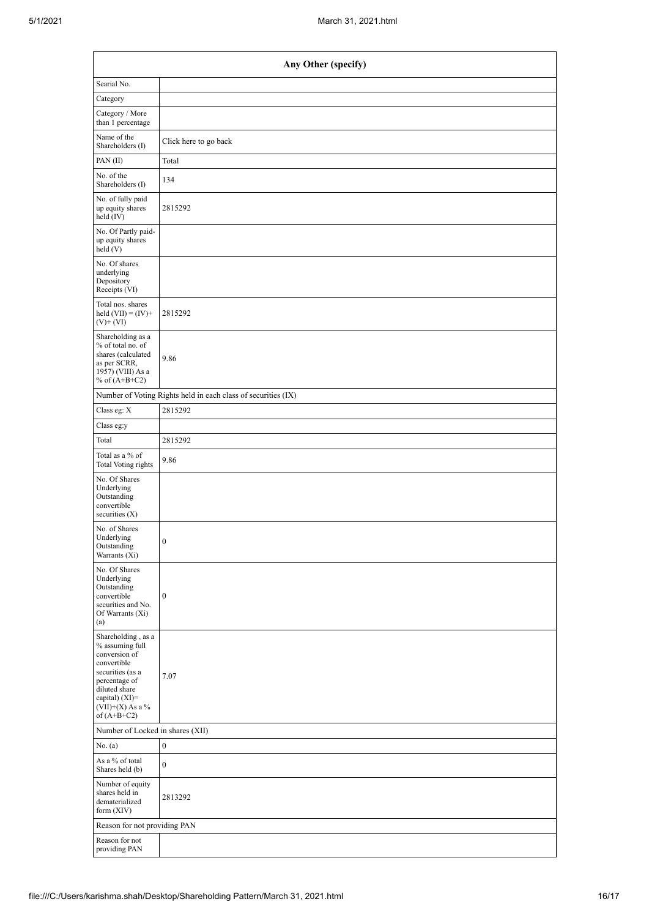| Any Other (specify)                                                                                                                                                                    |                                                               |  |  |  |  |  |  |
|----------------------------------------------------------------------------------------------------------------------------------------------------------------------------------------|---------------------------------------------------------------|--|--|--|--|--|--|
| Searial No.                                                                                                                                                                            |                                                               |  |  |  |  |  |  |
| Category                                                                                                                                                                               |                                                               |  |  |  |  |  |  |
| Category / More<br>than 1 percentage                                                                                                                                                   |                                                               |  |  |  |  |  |  |
| Name of the<br>Shareholders (I)                                                                                                                                                        | Click here to go back                                         |  |  |  |  |  |  |
| PAN $(II)$                                                                                                                                                                             | Total                                                         |  |  |  |  |  |  |
| No. of the<br>Shareholders (I)                                                                                                                                                         | 134                                                           |  |  |  |  |  |  |
| No. of fully paid<br>up equity shares<br>held (IV)                                                                                                                                     | 2815292                                                       |  |  |  |  |  |  |
| No. Of Partly paid-<br>up equity shares<br>held(V)                                                                                                                                     |                                                               |  |  |  |  |  |  |
| No. Of shares<br>underlying<br>Depository<br>Receipts (VI)                                                                                                                             |                                                               |  |  |  |  |  |  |
| Total nos. shares<br>held $(VII) = (IV) +$<br>$(V)$ + $(VI)$                                                                                                                           | 2815292                                                       |  |  |  |  |  |  |
| Shareholding as a<br>% of total no. of<br>shares (calculated<br>as per SCRR,<br>1957) (VIII) As a<br>% of $(A+B+C2)$                                                                   | 9.86                                                          |  |  |  |  |  |  |
|                                                                                                                                                                                        | Number of Voting Rights held in each class of securities (IX) |  |  |  |  |  |  |
| Class eg: $\mathbf X$                                                                                                                                                                  | 2815292                                                       |  |  |  |  |  |  |
| Class eg:y                                                                                                                                                                             |                                                               |  |  |  |  |  |  |
| Total                                                                                                                                                                                  | 2815292                                                       |  |  |  |  |  |  |
| Total as a % of<br>Total Voting rights                                                                                                                                                 | 9.86                                                          |  |  |  |  |  |  |
| No. Of Shares<br>Underlying<br>Outstanding<br>convertible<br>securities $(X)$                                                                                                          |                                                               |  |  |  |  |  |  |
| No. of Shares<br>Underlying<br>Outstanding<br>Warrants (Xi)                                                                                                                            | $\boldsymbol{0}$                                              |  |  |  |  |  |  |
| No. Of Shares<br>Underlying<br>Outstanding<br>convertible<br>securities and No.<br>Of Warrants (Xi)<br>(a)                                                                             | $\boldsymbol{0}$                                              |  |  |  |  |  |  |
| Shareholding, as a<br>% assuming full<br>conversion of<br>convertible<br>securities (as a<br>percentage of<br>diluted share<br>capital) $(XI)=$<br>$(VII)+(X)$ As a %<br>of $(A+B+C2)$ | 7.07                                                          |  |  |  |  |  |  |
| Number of Locked in shares (XII)                                                                                                                                                       |                                                               |  |  |  |  |  |  |
| No. (a)                                                                                                                                                                                | $\boldsymbol{0}$                                              |  |  |  |  |  |  |
| As a % of total<br>Shares held (b)                                                                                                                                                     | $\boldsymbol{0}$                                              |  |  |  |  |  |  |
| Number of equity<br>shares held in<br>dematerialized<br>form (XIV)                                                                                                                     | 2813292                                                       |  |  |  |  |  |  |
| Reason for not providing PAN                                                                                                                                                           |                                                               |  |  |  |  |  |  |
| Reason for not<br>providing PAN                                                                                                                                                        |                                                               |  |  |  |  |  |  |